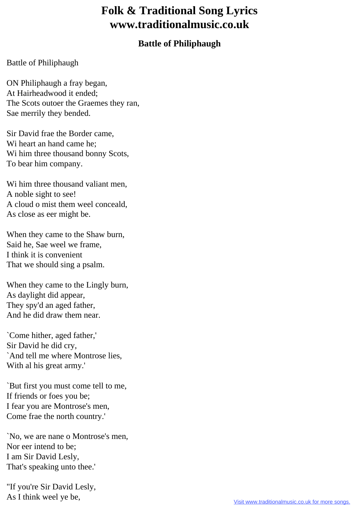## **Folk & Traditional Song Lyrics www.traditionalmusic.co.uk**

## **Battle of Philiphaugh**

## Battle of Philiphaugh

ON Philiphaugh a fray began, At Hairheadwood it ended; The Scots outoer the Graemes they ran, Sae merrily they bended.

Sir David frae the Border came, Wi heart an hand came he; Wi him three thousand bonny Scots, To bear him company.

Wi him three thousand valiant men, A noble sight to see! A cloud o mist them weel conceald, As close as eer might be.

When they came to the Shaw burn, Said he, Sae weel we frame, I think it is convenient That we should sing a psalm.

When they came to the Lingly burn, As daylight did appear, They spy'd an aged father, And he did draw them near.

`Come hither, aged father,' Sir David he did cry, `And tell me where Montrose lies, With al his great army.'

`But first you must come tell to me, If friends or foes you be; I fear you are Montrose's men, Come frae the north country.'

`No, we are nane o Montrose's men, Nor eer intend to be; I am Sir David Lesly, That's speaking unto thee.'

"If you're Sir David Lesly, As I think weel ye be,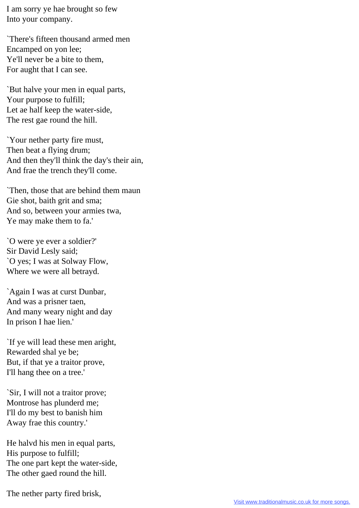I am sorry ye hae brought so few Into your company.

`There's fifteen thousand armed men Encamped on yon lee; Ye'll never be a bite to them, For aught that I can see.

`But halve your men in equal parts, Your purpose to fulfill; Let ae half keep the water-side, The rest gae round the hill.

`Your nether party fire must, Then beat a flying drum; And then they'll think the day's their ain, And frae the trench they'll come.

`Then, those that are behind them maun Gie shot, baith grit and sma; And so, between your armies twa, Ye may make them to fa.'

`O were ye ever a soldier?' Sir David Lesly said; `O yes; I was at Solway Flow, Where we were all betrayd.

`Again I was at curst Dunbar, And was a prisner taen, And many weary night and day In prison I hae lien.'

`If ye will lead these men aright, Rewarded shal ye be; But, if that ye a traitor prove, I'll hang thee on a tree.'

`Sir, I will not a traitor prove; Montrose has plunderd me; I'll do my best to banish him Away frae this country.'

He halvd his men in equal parts, His purpose to fulfill; The one part kept the water-side, The other gaed round the hill.

The nether party fired brisk,